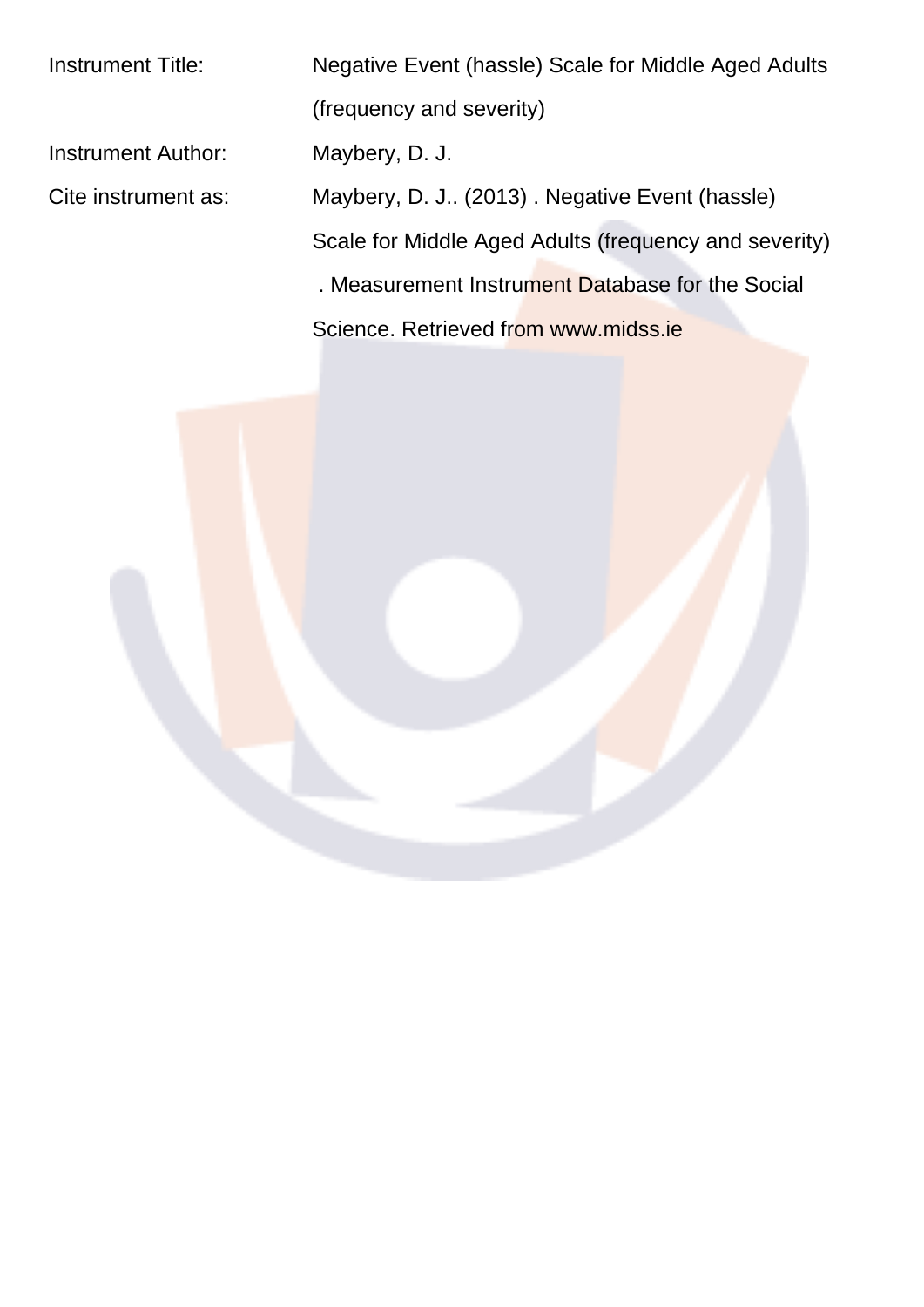Instrument Title: Negative Event (hassle) Scale for Middle Aged Adults (frequency and severity) Instrument Author: Maybery, D. J. Cite instrument as: Maybery, D. J.. (2013) . Negative Event (hassle) Scale for Middle Aged Adults (frequency and severity) . Measurement Instrument Database for the Social Science. Retrieved from www.midss.ie

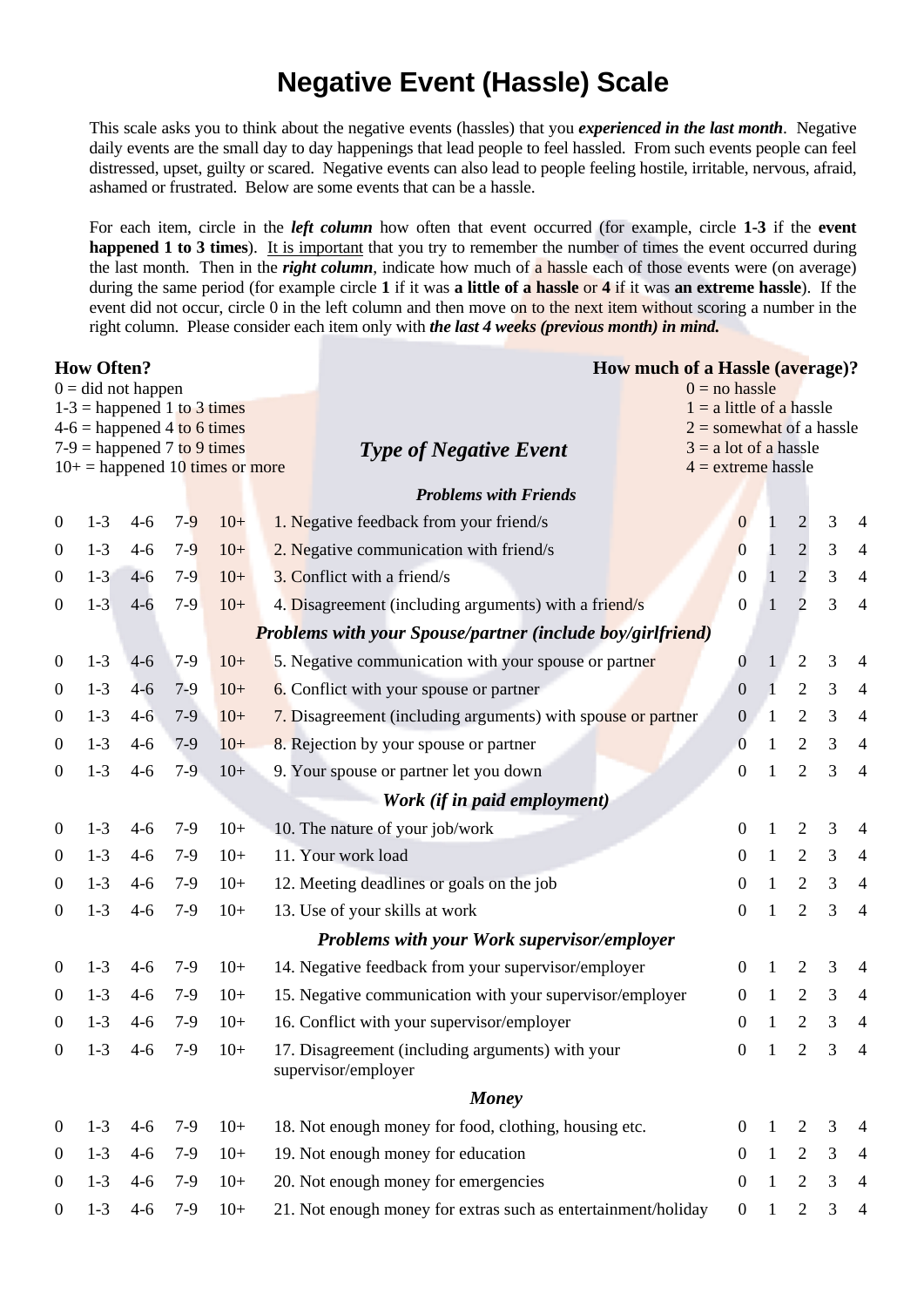## **Negative Event (Hassle) Scale**

This scale asks you to think about the negative events (hassles) that you *experienced in the last month*. Negative daily events are the small day to day happenings that lead people to feel hassled. From such events people can feel distressed, upset, guilty or scared. Negative events can also lead to people feeling hostile, irritable, nervous, afraid, ashamed or frustrated. Below are some events that can be a hassle.

For each item, circle in the *left column* how often that event occurred (for example, circle 1-3 if the event happened 1 to 3 times). It is important that you try to remember the number of times the event occurred during the last month. Then in the right column, indicate how much of a hassle each of those events were (on average) during the same period (for example circle 1 if it was a little of a hassle or 4 if it was an extreme hassle). If the event did not occur, circle 0 in the left column and then move on to the next item without scoring a number in the right column. Please consider each item only with the last 4 weeks (previous month) in mind.

| <b>How Often?</b>                                     |         |         |                               |                                   |                                                                         | <b>How much of a Hassle (average)?</b>                |              |                |                |                |  |  |
|-------------------------------------------------------|---------|---------|-------------------------------|-----------------------------------|-------------------------------------------------------------------------|-------------------------------------------------------|--------------|----------------|----------------|----------------|--|--|
| $0 = did not happen$<br>$1-3$ = happened 1 to 3 times |         |         |                               |                                   |                                                                         | $0 =$ no hassle                                       |              |                |                |                |  |  |
|                                                       |         |         | $4-6$ = happened 4 to 6 times |                                   |                                                                         | $1 = a$ little of a hassle                            |              |                |                |                |  |  |
|                                                       |         |         | $7-9$ = happened 7 to 9 times |                                   | <b>Type of Negative Event</b>                                           | $2 =$ somewhat of a hassle<br>$3 = a$ lot of a hassle |              |                |                |                |  |  |
|                                                       |         |         |                               | $10+$ = happened 10 times or more |                                                                         | $4 =$ extreme hassle                                  |              |                |                |                |  |  |
|                                                       |         |         |                               |                                   | <b>Problems with Friends</b>                                            |                                                       |              |                |                |                |  |  |
| $\boldsymbol{0}$                                      | $1 - 3$ | $4 - 6$ | $7 - 9$                       | $10+$                             | 1. Negative feedback from your friend/s                                 | $\mathbf{0}$                                          |              | $\mathbf{2}$   | 3              | $\overline{4}$ |  |  |
| $\boldsymbol{0}$                                      | $1-3$   | $4-6$   | $7-9$                         | $10+$                             | 2. Negative communication with friend/s                                 | $\overline{0}$                                        | $\mathbf{1}$ | $\overline{c}$ | 3              | $\overline{4}$ |  |  |
| $\boldsymbol{0}$                                      | $1-3$   | $4 - 6$ | $7-9$                         | $10+$                             | 3. Conflict with a friend/s                                             | $\boldsymbol{0}$                                      | $\mathbf{1}$ | $\overline{c}$ | 3              | $\overline{4}$ |  |  |
| $\boldsymbol{0}$                                      | $1 - 3$ | $4 - 6$ | $7-9$                         | $10+$                             | 4. Disagreement (including arguments) with a friend/s                   | $\boldsymbol{0}$                                      | $\mathbf{1}$ | $\overline{2}$ | 3              | $\overline{4}$ |  |  |
|                                                       |         |         |                               |                                   | <b>Problems with your Spouse/partner (include boy/girlfriend)</b>       |                                                       |              |                |                |                |  |  |
| $\boldsymbol{0}$                                      | $1-3$   | $4 - 6$ | $7-9$                         | $10+$                             | 5. Negative communication with your spouse or partner                   | $\boldsymbol{0}$                                      | 1            | $\sqrt{2}$     | 3              | $\overline{4}$ |  |  |
| $\boldsymbol{0}$                                      | $1-3$   | $4 - 6$ | $7-9$                         | $10+$                             | 6. Conflict with your spouse or partner                                 | $\overline{0}$                                        |              | $\sqrt{2}$     | $\mathfrak{Z}$ | $\overline{4}$ |  |  |
| $\boldsymbol{0}$                                      | $1-3$   | $4 - 6$ | $7-9$                         | $10+$                             | 7. Disagreement (including arguments) with spouse or partner            | $\overline{0}$                                        | $\mathbf{1}$ | $\overline{2}$ | 3              | $\overline{4}$ |  |  |
| $\boldsymbol{0}$                                      | $1 - 3$ | $4 - 6$ | $7-9$                         | $10+$                             | 8. Rejection by your spouse or partner                                  | $\overline{0}$                                        | 1            | $\overline{2}$ | 3              | $\overline{4}$ |  |  |
| $\boldsymbol{0}$                                      | $1-3$   | $4 - 6$ | $7-9$                         | $10+$                             | 9. Your spouse or partner let you down                                  | 0                                                     | 1            | $\overline{2}$ | 3              | $\overline{4}$ |  |  |
|                                                       |         |         |                               |                                   | Work (if in paid employment)                                            |                                                       |              |                |                |                |  |  |
| $\boldsymbol{0}$                                      | $1 - 3$ | $4 - 6$ | $7-9$                         | $10+$                             | 10. The nature of your job/work                                         | $\boldsymbol{0}$                                      | $\mathbf{1}$ | $\overline{2}$ | 3              | $\overline{4}$ |  |  |
| $\boldsymbol{0}$                                      | $1 - 3$ | $4-6$   | $7-9$                         | $10+$                             | 11. Your work load                                                      | $\boldsymbol{0}$                                      | $\mathbf{1}$ | $\mathfrak{2}$ | 3              | $\overline{4}$ |  |  |
| $\boldsymbol{0}$                                      | $1-3$   | $4 - 6$ | $7-9$                         | $10+$                             | 12. Meeting deadlines or goals on the job                               | $\boldsymbol{0}$                                      | $\mathbf{1}$ | $\overline{2}$ | 3              | $\overline{4}$ |  |  |
| $\boldsymbol{0}$                                      | $1-3$   | $4 - 6$ | $7-9$                         | $10+$                             | 13. Use of your skills at work                                          | $\boldsymbol{0}$                                      | $\mathbf{1}$ | $\overline{2}$ | 3              | $\overline{4}$ |  |  |
|                                                       |         |         |                               |                                   | <b>Problems with your Work supervisor/employer</b>                      |                                                       |              |                |                |                |  |  |
| $\boldsymbol{0}$                                      | $1 - 3$ | $4-6$   | $7-9$                         | $10+$                             | 14. Negative feedback from your supervisor/employer                     | $\overline{0}$                                        | 1            | $\overline{2}$ | 3              | $\overline{4}$ |  |  |
| $\overline{0}$                                        | $1 - 3$ | $4-6$   | $7-9$                         | $10+$                             | 15. Negative communication with your supervisor/employer                | $\mathbf{0}$                                          | 1            | $\overline{2}$ | 3              | $\overline{4}$ |  |  |
| $\boldsymbol{0}$                                      | $1-3$   | $4 - 6$ | $7-9$                         | $10+$                             | 16. Conflict with your supervisor/employer                              | $\Omega$                                              | 1            | $\overline{2}$ | 3              | $\overline{4}$ |  |  |
| $\overline{0}$                                        | $1 - 3$ |         | $4-6$ 7-9                     | $10+$                             | 17. Disagreement (including arguments) with your<br>supervisor/employer | $\overline{0}$                                        | 1            | 2              | 3              | $\overline{4}$ |  |  |
|                                                       |         |         |                               |                                   | <b>Money</b>                                                            |                                                       |              |                |                |                |  |  |
| $\boldsymbol{0}$                                      | $1 - 3$ | $4 - 6$ | $7-9$                         | $10+$                             | 18. Not enough money for food, clothing, housing etc.                   | $\overline{0}$                                        | 1            | 2              | 3              | $\overline{4}$ |  |  |
| $\boldsymbol{0}$                                      | $1 - 3$ | $4 - 6$ | $7-9$                         | $10+$                             | 19. Not enough money for education                                      | $\overline{0}$                                        | $\mathbf{1}$ | $\overline{2}$ | 3              | $\overline{4}$ |  |  |
| $\overline{0}$                                        | $1 - 3$ | $4 - 6$ | $7-9$                         | $10+$                             | 20. Not enough money for emergencies                                    | $\mathbf{0}$                                          | 1            | $\overline{2}$ | 3              | $\overline{4}$ |  |  |
| $\boldsymbol{0}$                                      | $1 - 3$ | $4 - 6$ | $7-9$                         | $10+$                             | 21. Not enough money for extras such as entertainment/holiday           | $\overline{0}$                                        | $\mathbf{1}$ | $\overline{2}$ | 3              | $\overline{4}$ |  |  |